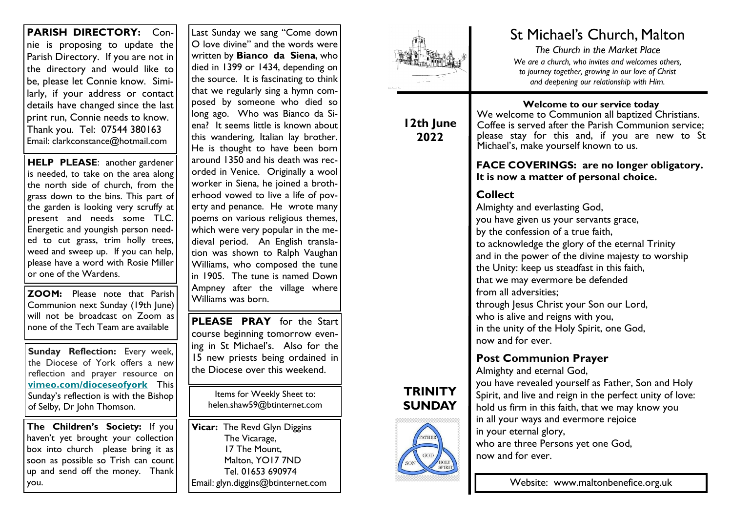**PARISH DIRECTORY:** Connie is proposing to update the Parish Directory. If you are not in the directory and would like to be, please let Connie know. Similarly, if your address or contact details have changed since the last print run, Connie needs to know. Thank you. Tel: 07544 380163 Email: clarkconstance@hotmail.com

**HELP PLEASE**: another gardener is needed, to take on the area along the north side of church, from the grass down to the bins. This part of the garden is looking very scruffy at present and needs some TLC. Energetic and youngish person needed to cut grass, trim holly trees, weed and sweep up. If you can help, please have a word with Rosie Miller or one of the Wardens.

**ZOOM:** Please note that Parish Communion next Sunday (19th June) will not be broadcast on Zoom as none of the Tech Team are available

**Sunday Reflection:** Every week, the Diocese of York offers a new reflection and prayer resource on **[vimeo.com/dioceseofyork](https://dioceseofyork.us7.list-manage.com/track/click?u=975ba10dfea3bbb80973e38db&id=cf7c547241&e=66f37a0936)** This Sunday's reflection is with the Bishop of Selby, Dr John Thomson.

**The Children's Society:** If you haven't yet brought your collection box into church please bring it as soon as possible so Trish can count up and send off the money. Thank you.

Last Sunday we sang "Come down O love divine" and the words were written by **Bianco da Siena**, who died in 1399 or 1434, depending on the source. It is fascinating to think that we regularly sing a hymn composed by someone who died so long ago. Who was Bianco da Siena? It seems little is known about this wandering, Italian lay brother. He is thought to have been born around 1350 and his death was recorded in Venice. Originally a wool worker in Siena, he joined a brotherhood vowed to live a life of poverty and penance. He wrote many poems on various religious themes, which were very popular in the medieval period. An English translation was shown to Ralph Vaughan Williams, who composed the tune in 1905. The tune is named Down Ampney after the village where Williams was born.

**PLEASE PRAY** for the Start course beginning tomorrow evening in St Michael's. Also for the 15 new priests being ordained in the Diocese over this weekend.

> Items for Weekly Sheet to: helen.shaw59@btinternet.com

**Vicar:** The Revd Glyn Diggins The Vicarage, 17 The Mount, Malton, YO17 7ND Tel. 01653 690974 Email: glyn.diggins@btinternet.com



## **12th June 2022**

# St Michael's Church, Malton

*The Church in the Market Place We are a church, who invites and welcomes others, to journey together, growing in our love of Christ and deepening our relationship with Him.*

**Welcome to our service today** We welcome to Communion all baptized Christians. Coffee is served after the Parish Communion service; please stay for this and, if you are new to St Michael's, make yourself known to us.

## **FACE COVERINGS: are no longer obligatory. It is now a matter of personal choice.**

# **Collect**

Almighty and everlasting God, you have given us your servants grace, by the confession of a true faith, to acknowledge the glory of the eternal Trinity and in the power of the divine majesty to worship the Unity: keep us steadfast in this faith, that we may evermore be defended from all adversities; through Jesus Christ your Son our Lord, who is alive and reigns with you, in the unity of the Holy Spirit, one God, now and for ever.

# **Post Communion Prayer**

Almighty and eternal God,

you have revealed yourself as Father, Son and Holy Spirit, and live and reign in the perfect unity of love: hold us firm in this faith, that we may know you in all your ways and evermore rejoice in your eternal glory, who are three Persons yet one God, now and for ever.

Website: www.maltonbenefice.org.uk